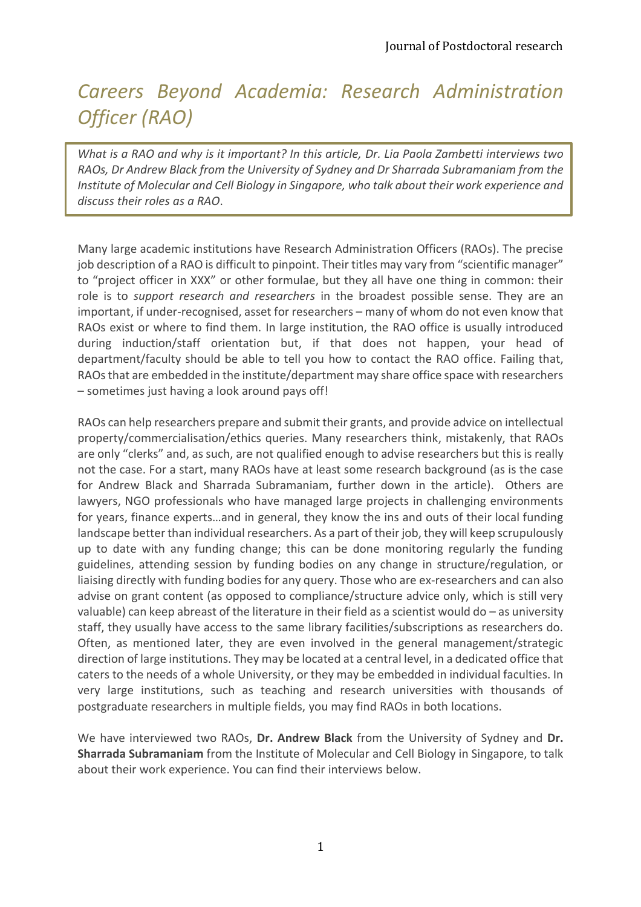## *Careers Beyond Academia: Research Administration Officer (RAO)*

*What is a RAO and why is it important? In this article, Dr. Lia Paola Zambetti interviews two RAOs, Dr Andrew Black from the University of Sydney and Dr Sharrada Subramaniam from the Institute of Molecular and Cell Biology in Singapore, who talk about their work experience and discuss their roles as a RAO*.

Many large academic institutions have Research Administration Officers (RAOs). The precise job description of a RAO is difficult to pinpoint. Their titles may vary from "scientific manager" to "project officer in XXX" or other formulae, but they all have one thing in common: their role is to *support research and researchers* in the broadest possible sense. They are an important, if under-recognised, asset for researchers – many of whom do not even know that RAOs exist or where to find them. In large institution, the RAO office is usually introduced during induction/staff orientation but, if that does not happen, your head of department/faculty should be able to tell you how to contact the RAO office. Failing that, RAOs that are embedded in the institute/department may share office space with researchers – sometimes just having a look around pays off!

RAOs can help researchers prepare and submit their grants, and provide advice on intellectual property/commercialisation/ethics queries. Many researchers think, mistakenly, that RAOs are only "clerks" and, as such, are not qualified enough to advise researchers but this is really not the case. For a start, many RAOs have at least some research background (as is the case for Andrew Black and Sharrada Subramaniam, further down in the article). Others are lawyers, NGO professionals who have managed large projects in challenging environments for years, finance experts…and in general, they know the ins and outs of their local funding landscape better than individual researchers. As a part of their job, they will keep scrupulously up to date with any funding change; this can be done monitoring regularly the funding guidelines, attending session by funding bodies on any change in structure/regulation, or liaising directly with funding bodies for any query. Those who are ex-researchers and can also advise on grant content (as opposed to compliance/structure advice only, which is still very valuable) can keep abreast of the literature in their field as a scientist would do – as university staff, they usually have access to the same library facilities/subscriptions as researchers do. Often, as mentioned later, they are even involved in the general management/strategic direction of large institutions. They may be located at a central level, in a dedicated office that caters to the needs of a whole University, or they may be embedded in individual faculties. In very large institutions, such as teaching and research universities with thousands of postgraduate researchers in multiple fields, you may find RAOs in both locations.

We have interviewed two RAOs, **Dr. Andrew Black** from the University of Sydney and **Dr. Sharrada Subramaniam** from the Institute of Molecular and Cell Biology in Singapore, to talk about their work experience. You can find their interviews below.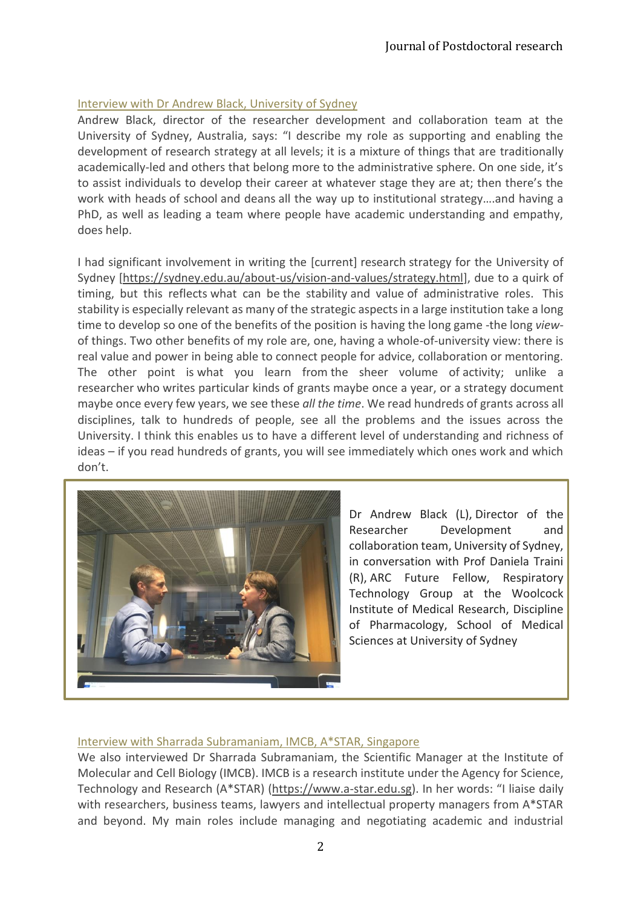## Interview with Dr Andrew Black, University of Sydney

Andrew Black, director of the researcher development and collaboration team at the University of Sydney, Australia, says: "I describe my role as supporting and enabling the development of research strategy at all levels; it is a mixture of things that are traditionally academically-led and others that belong more to the administrative sphere. On one side, it's to assist individuals to develop their career at whatever stage they are at; then there's the work with heads of school and deans all the way up to institutional strategy….and having a PhD, as well as leading a team where people have academic understanding and empathy, does help.

I had significant involvement in writing the [current] research strategy for the University of Sydney [\[https://sydney.edu.au/about-us/vision-and-values/strategy.html\]](https://sydney.edu.au/about-us/vision-and-values/strategy.html), due to a quirk of timing, but this reflects what can be the stability and value of administrative roles. This stability is especially relevant as many of the strategic aspects in a large institution take a long time to develop so one of the benefits of the position is having the long game -the long *view*of things. Two other benefits of my role are, one, having a whole-of-university view: there is real value and power in being able to connect people for advice, collaboration or mentoring. The other point is what you learn from the sheer volume of activity; unlike a researcher who writes particular kinds of grants maybe once a year, or a strategy document maybe once every few years, we see these *all the time*. We read hundreds of grants across all disciplines, talk to hundreds of people, see all the problems and the issues across the University. I think this enables us to have a different level of understanding and richness of ideas – if you read hundreds of grants, you will see immediately which ones work and which don't.



Dr Andrew Black (L), Director of the Researcher Development and collaboration team, University of Sydney, in conversation with Prof Daniela Traini (R), ARC Future Fellow, Respiratory Technology Group at the Woolcock Institute of Medical Research, Discipline of Pharmacology, School of Medical Sciences at University of Sydney

## Interview with Sharrada Subramaniam, IMCB, A\*STAR, Singapore

We also interviewed Dr Sharrada Subramaniam, the Scientific Manager at the Institute of Molecular and Cell Biology (IMCB). IMCB is a research institute under the Agency for Science, Technology and Research (A\*STAR) [\(https://www.a-star.edu.sg\)](https://www.a-star.edu.sg/). In her words: "I liaise daily with researchers, business teams, lawyers and intellectual property managers from A\*STAR and beyond. My main roles include managing and negotiating academic and industrial